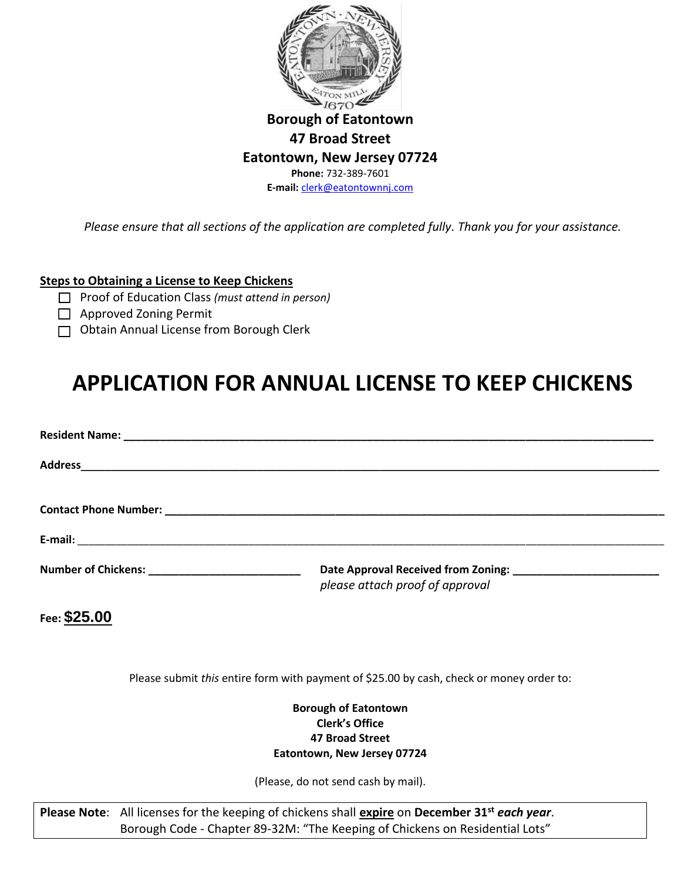

*Please ensure that all sections of the application are completed fully. Thank you for your assistance.* 

## **Steps to Obtaining a License to Keep Chickens**

- □ Proof of Education Class *(must attend in person)*
- □ Approved Zoning Permit
- □ Obtain Annual License from Borough Clerk

# **APPLICATION FOR ANNUAL LICENSE TO KEEP CHICKENS**

| please attach proof of approval |
|---------------------------------|

**Fee: \$25.00** 

Please submit *this* entire form with payment of \$25.00 by cash, check or money order to:

#### **Borough of Eatontown Clerk's Office 47 Broad Street Eatontown, New Jersey 07724**

(Please, do not send cash by mail).

**Please Note**: All licenses for the keeping of chickens shall **expire** on **December 31st** *each year*. Borough Code - Chapter 89-32M: "The Keeping of Chickens on Residential Lots"